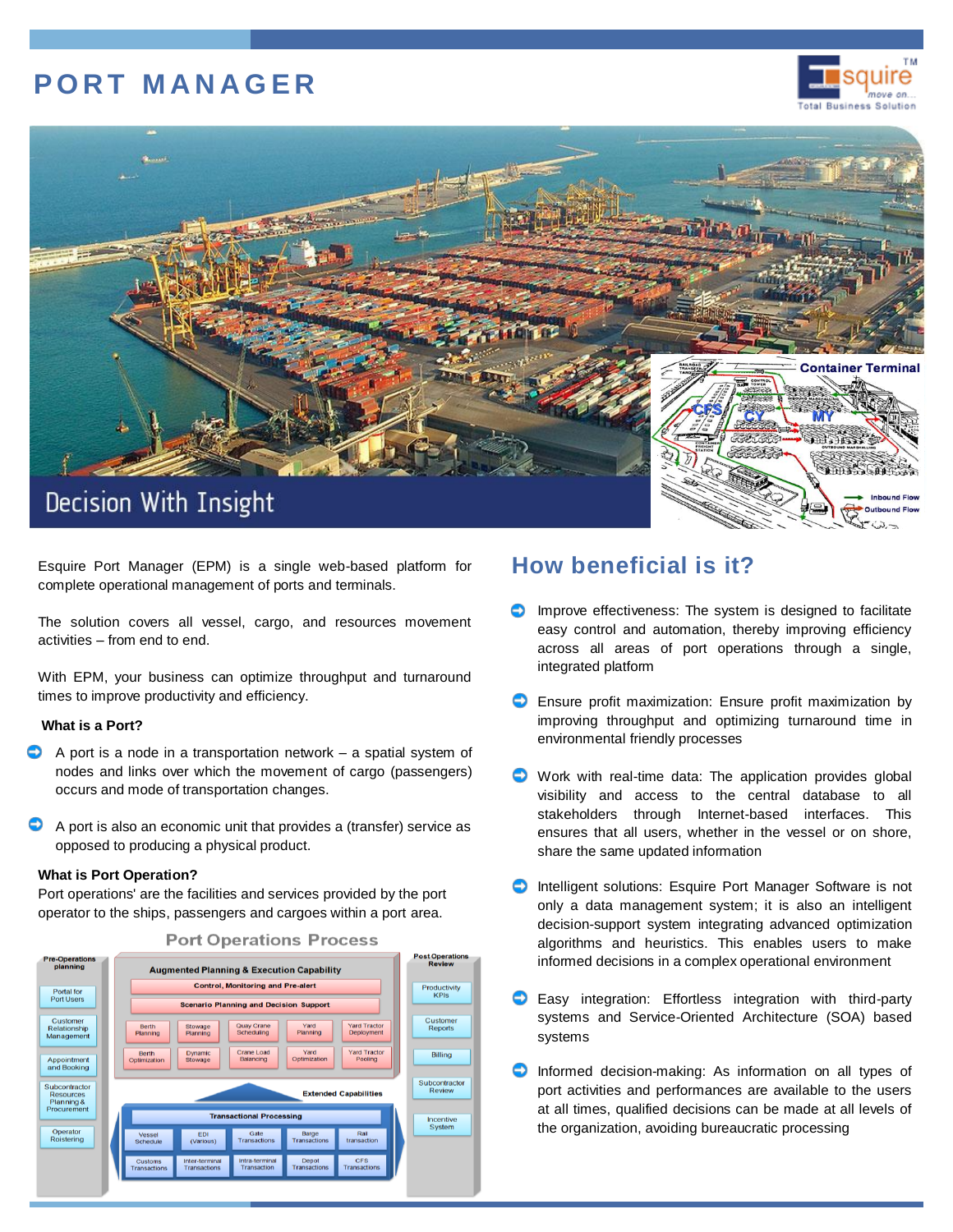# **P O R T M A N A G E R**





Esquire Port Manager (EPM) is a single web-based platform for complete operational management of ports and terminals.

The solution covers all vessel, cargo, and resources movement activities – from end to end.

With EPM, your business can optimize throughput and turnaround times to improve productivity and efficiency.

## **What is a Port?**

- A port is a node in a transportation network a spatial system of nodes and links over which the movement of cargo (passengers) occurs and mode of transportation changes.
- ⊖ A port is also an economic unit that provides a (transfer) service as opposed to producing a physical product.

### **What is Port Operation?**

Port operations' are the facilities and services provided by the port operator to the ships, passengers and cargoes within a port area.



### **Port Operations Process**

## **How beneficial is it?**

- $\bullet$  Improve effectiveness: The system is designed to facilitate easy control and automation, thereby improving efficiency across all areas of port operations through a single, integrated platform
- **C** Ensure profit maximization: Ensure profit maximization by improving throughput and optimizing turnaround time in environmental friendly processes
- Work with real-time data: The application provides global visibility and access to the central database to all stakeholders through Internet-based interfaces. This ensures that all users, whether in the vessel or on shore, share the same updated information
- **D** Intelligent solutions: Esquire Port Manager Software is not only a data management system; it is also an intelligent decision-support system integrating advanced optimization algorithms and heuristics. This enables users to make informed decisions in a complex operational environment
- **C** Easy integration: Effortless integration with third-party systems and Service-Oriented Architecture (SOA) based systems
- **Informed decision-making: As information on all types of** port activities and performances are available to the users at all times, qualified decisions can be made at all levels of the organization, avoiding bureaucratic processing